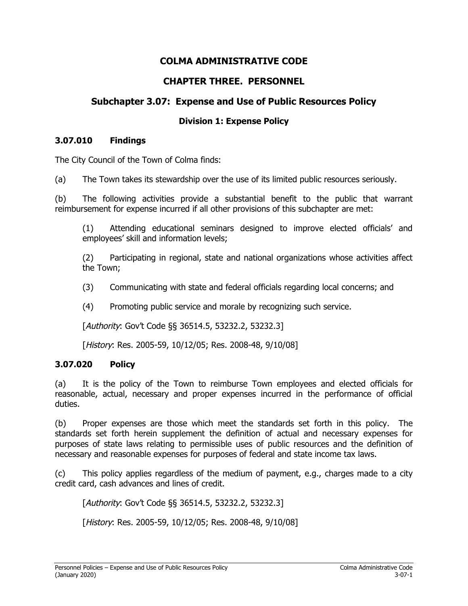# **COLMA ADMINISTRATIVE CODE**

# **CHAPTER THREE. PERSONNEL**

# **Subchapter 3.07: Expense and Use of Public Resources Policy**

#### **Division 1: Expense Policy**

#### **3.07.010 Findings**

The City Council of the Town of Colma finds:

(a) The Town takes its stewardship over the use of its limited public resources seriously.

(b) The following activities provide a substantial benefit to the public that warrant reimbursement for expense incurred if all other provisions of this subchapter are met:

(1) Attending educational seminars designed to improve elected officials' and employees' skill and information levels;

(2) Participating in regional, state and national organizations whose activities affect the Town;

- (3) Communicating with state and federal officials regarding local concerns; and
- (4) Promoting public service and morale by recognizing such service.

[Authority: Gov't Code §§ 36514.5, 53232.2, 53232.3]

[History: Res. 2005-59, 10/12/05; Res. 2008-48, 9/10/08]

#### **3.07.020 Policy**

(a) It is the policy of the Town to reimburse Town employees and elected officials for reasonable, actual, necessary and proper expenses incurred in the performance of official duties.

(b) Proper expenses are those which meet the standards set forth in this policy. The standards set forth herein supplement the definition of actual and necessary expenses for purposes of state laws relating to permissible uses of public resources and the definition of necessary and reasonable expenses for purposes of federal and state income tax laws.

(c) This policy applies regardless of the medium of payment, e.g., charges made to a city credit card, cash advances and lines of credit.

[Authority: Gov't Code §§ 36514.5, 53232.2, 53232.3]

[History: Res. 2005-59, 10/12/05; Res. 2008-48, 9/10/08]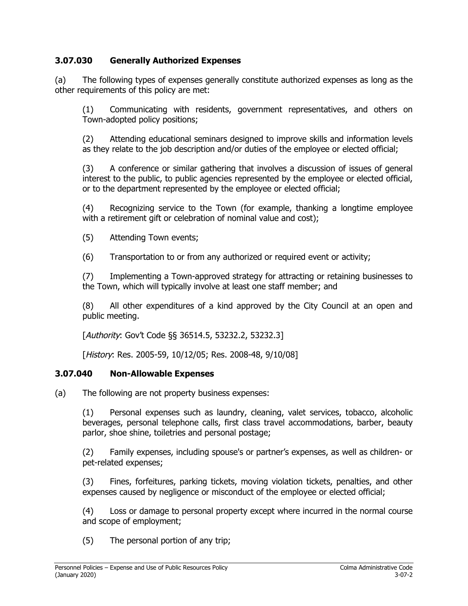## **3.07.030 Generally Authorized Expenses**

(a) The following types of expenses generally constitute authorized expenses as long as the other requirements of this policy are met:

(1) Communicating with residents, government representatives, and others on Town-adopted policy positions;

(2) Attending educational seminars designed to improve skills and information levels as they relate to the job description and/or duties of the employee or elected official;

(3) A conference or similar gathering that involves a discussion of issues of general interest to the public, to public agencies represented by the employee or elected official, or to the department represented by the employee or elected official;

(4) Recognizing service to the Town (for example, thanking a longtime employee with a retirement gift or celebration of nominal value and cost);

(5) Attending Town events;

(6) Transportation to or from any authorized or required event or activity;

(7) Implementing a Town-approved strategy for attracting or retaining businesses to the Town, which will typically involve at least one staff member; and

(8) All other expenditures of a kind approved by the City Council at an open and public meeting.

[Authority: Gov't Code §§ 36514.5, 53232.2, 53232.3]

[History: Res. 2005-59, 10/12/05; Res. 2008-48, 9/10/08]

#### **3.07.040 Non-Allowable Expenses**

(a) The following are not property business expenses:

(1) Personal expenses such as laundry, cleaning, valet services, tobacco, alcoholic beverages, personal telephone calls, first class travel accommodations, barber, beauty parlor, shoe shine, toiletries and personal postage;

(2) Family expenses, including spouse's or partner's expenses, as well as children- or pet-related expenses;

(3) Fines, forfeitures, parking tickets, moving violation tickets, penalties, and other expenses caused by negligence or misconduct of the employee or elected official;

(4) Loss or damage to personal property except where incurred in the normal course and scope of employment;

(5) The personal portion of any trip;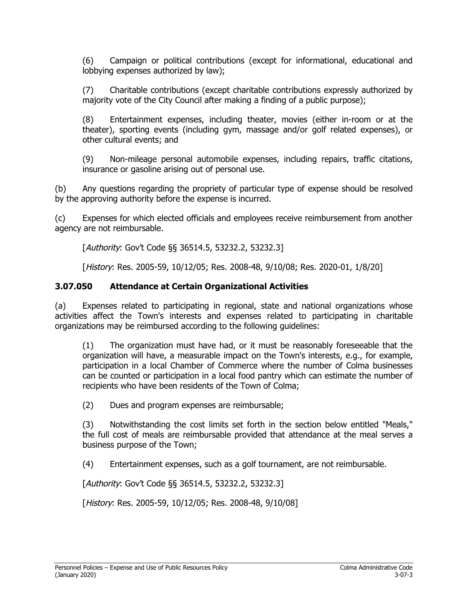(6) Campaign or political contributions (except for informational, educational and lobbying expenses authorized by law);

(7) Charitable contributions (except charitable contributions expressly authorized by majority vote of the City Council after making a finding of a public purpose);

(8) Entertainment expenses, including theater, movies (either in-room or at the theater), sporting events (including gym, massage and/or golf related expenses), or other cultural events; and

(9) Non-mileage personal automobile expenses, including repairs, traffic citations, insurance or gasoline arising out of personal use.

(b) Any questions regarding the propriety of particular type of expense should be resolved by the approving authority before the expense is incurred.

(c) Expenses for which elected officials and employees receive reimbursement from another agency are not reimbursable.

[Authority: Gov't Code §§ 36514.5, 53232.2, 53232.3]

[History: Res. 2005-59, 10/12/05; Res. 2008-48, 9/10/08; Res. 2020-01, 1/8/20]

#### **3.07.050 Attendance at Certain Organizational Activities**

(a) Expenses related to participating in regional, state and national organizations whose activities affect the Town's interests and expenses related to participating in charitable organizations may be reimbursed according to the following guidelines:

(1) The organization must have had, or it must be reasonably foreseeable that the organization will have, a measurable impact on the Town's interests, e.g., for example, participation in a local Chamber of Commerce where the number of Colma businesses can be counted or participation in a local food pantry which can estimate the number of recipients who have been residents of the Town of Colma;

(2) Dues and program expenses are reimbursable;

(3) Notwithstanding the cost limits set forth in the section below entitled "Meals," the full cost of meals are reimbursable provided that attendance at the meal serves a business purpose of the Town;

(4) Entertainment expenses, such as a golf tournament, are not reimbursable.

[Authority: Gov't Code §§ 36514.5, 53232.2, 53232.3]

[*History*: Res. 2005-59, 10/12/05; Res. 2008-48, 9/10/08]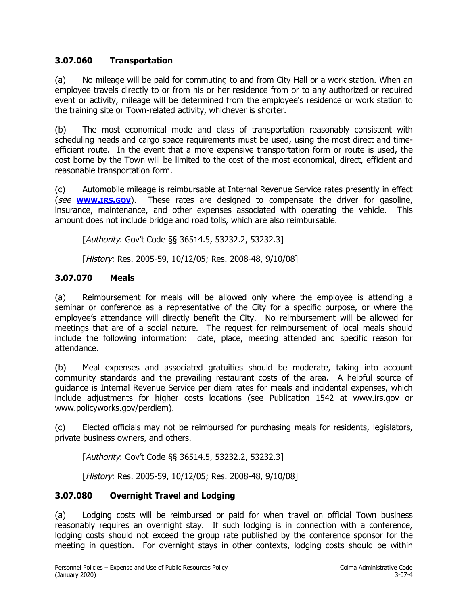# **3.07.060 Transportation**

(a) No mileage will be paid for commuting to and from City Hall or a work station. When an employee travels directly to or from his or her residence from or to any authorized or required event or activity, mileage will be determined from the employee's residence or work station to the training site or Town-related activity, whichever is shorter.

(b) The most economical mode and class of transportation reasonably consistent with scheduling needs and cargo space requirements must be used, using the most direct and timeefficient route. In the event that a more expensive transportation form or route is used, the cost borne by the Town will be limited to the cost of the most economical, direct, efficient and reasonable transportation form.

(c) Automobile mileage is reimbursable at Internal Revenue Service rates presently in effect (see **[WWW](http://www.irs.gov/).IRS.GOV**). These rates are designed to compensate the driver for gasoline, insurance, maintenance, and other expenses associated with operating the vehicle. This amount does not include bridge and road tolls, which are also reimbursable.

[Authority: Gov't Code §§ 36514.5, 53232.2, 53232.3]

[History: Res. 2005-59, 10/12/05; Res. 2008-48, 9/10/08]

# **3.07.070 Meals**

(a) Reimbursement for meals will be allowed only where the employee is attending a seminar or conference as a representative of the City for a specific purpose, or where the employee's attendance will directly benefit the City. No reimbursement will be allowed for meetings that are of a social nature. The request for reimbursement of local meals should include the following information: date, place, meeting attended and specific reason for attendance.

(b) Meal expenses and associated gratuities should be moderate, taking into account community standards and the prevailing restaurant costs of the area. A helpful source of guidance is Internal Revenue Service per diem rates for meals and incidental expenses, which include adjustments for higher costs locations (see Publication 1542 at [www.irs.gov](http://www.irs.gov/) or [www.policyworks.gov/perdiem](http://www.policyworks.gov/erdiem)).

(c) Elected officials may not be reimbursed for purchasing meals for residents, legislators, private business owners, and others.

[Authority: Gov't Code §§ 36514.5, 53232.2, 53232.3]

[*History*: Res. 2005-59, 10/12/05; Res. 2008-48, 9/10/08]

# **3.07.080 Overnight Travel and Lodging**

(a) Lodging costs will be reimbursed or paid for when travel on official Town business reasonably requires an overnight stay. If such lodging is in connection with a conference, lodging costs should not exceed the group rate published by the conference sponsor for the meeting in question. For overnight stays in other contexts, lodging costs should be within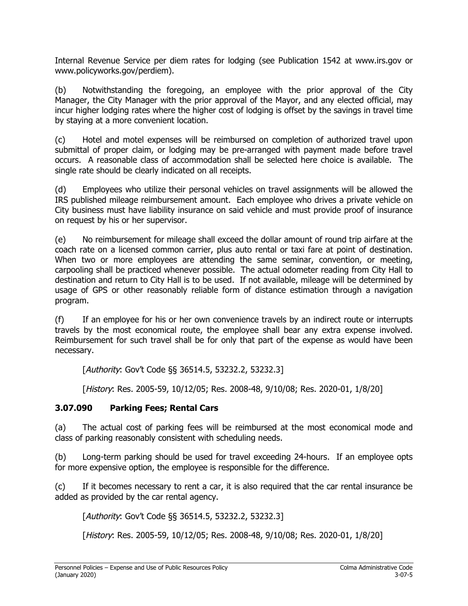Internal Revenue Service per diem rates for lodging (see Publication 1542 at [www.irs.gov](http://www.irs.gov/) or [www.policyworks.gov/perdiem](http://www.policyworks.gov/erdiem)).

(b) Notwithstanding the foregoing, an employee with the prior approval of the City Manager, the City Manager with the prior approval of the Mayor, and any elected official, may incur higher lodging rates where the higher cost of lodging is offset by the savings in travel time by staying at a more convenient location.

(c) Hotel and motel expenses will be reimbursed on completion of authorized travel upon submittal of proper claim, or lodging may be pre-arranged with payment made before travel occurs. A reasonable class of accommodation shall be selected here choice is available. The single rate should be clearly indicated on all receipts.

(d) Employees who utilize their personal vehicles on travel assignments will be allowed the IRS published mileage reimbursement amount. Each employee who drives a private vehicle on City business must have liability insurance on said vehicle and must provide proof of insurance on request by his or her supervisor.

(e) No reimbursement for mileage shall exceed the dollar amount of round trip airfare at the coach rate on a licensed common carrier, plus auto rental or taxi fare at point of destination. When two or more employees are attending the same seminar, convention, or meeting, carpooling shall be practiced whenever possible. The actual odometer reading from City Hall to destination and return to City Hall is to be used. If not available, mileage will be determined by usage of GPS or other reasonably reliable form of distance estimation through a navigation program.

(f) If an employee for his or her own convenience travels by an indirect route or interrupts travels by the most economical route, the employee shall bear any extra expense involved. Reimbursement for such travel shall be for only that part of the expense as would have been necessary.

[Authority: Gov't Code §§ 36514.5, 53232.2, 53232.3]

[History: Res. 2005-59, 10/12/05; Res. 2008-48, 9/10/08; Res. 2020-01, 1/8/20]

# **3.07.090 Parking Fees; Rental Cars**

(a) The actual cost of parking fees will be reimbursed at the most economical mode and class of parking reasonably consistent with scheduling needs.

(b) Long-term parking should be used for travel exceeding 24-hours. If an employee opts for more expensive option, the employee is responsible for the difference.

(c) If it becomes necessary to rent a car, it is also required that the car rental insurance be added as provided by the car rental agency.

[Authority: Gov't Code §§ 36514.5, 53232.2, 53232.3]

[History: Res. 2005-59, 10/12/05; Res. 2008-48, 9/10/08; Res. 2020-01, 1/8/20]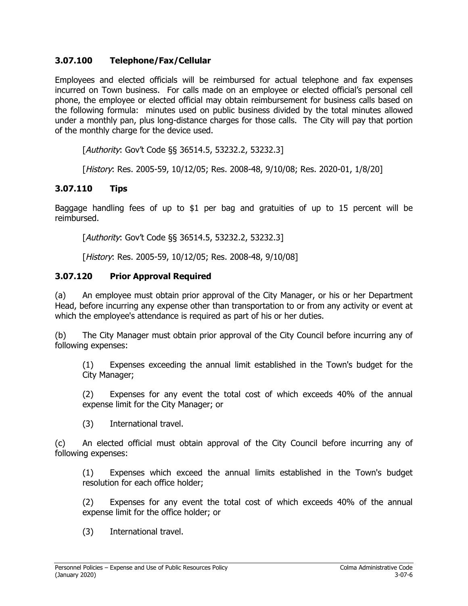#### **3.07.100 Telephone/Fax/Cellular**

Employees and elected officials will be reimbursed for actual telephone and fax expenses incurred on Town business. For calls made on an employee or elected official's personal cell phone, the employee or elected official may obtain reimbursement for business calls based on the following formula: minutes used on public business divided by the total minutes allowed under a monthly pan, plus long-distance charges for those calls. The City will pay that portion of the monthly charge for the device used.

[Authority: Gov't Code §§ 36514.5, 53232.2, 53232.3]

[History: Res. 2005-59, 10/12/05; Res. 2008-48, 9/10/08; Res. 2020-01, 1/8/20]

# **3.07.110 Tips**

Baggage handling fees of up to \$1 per bag and gratuities of up to 15 percent will be reimbursed.

[Authority: Gov't Code §§ 36514.5, 53232.2, 53232.3]

[History: Res. 2005-59, 10/12/05; Res. 2008-48, 9/10/08]

#### **3.07.120 Prior Approval Required**

(a) An employee must obtain prior approval of the City Manager, or his or her Department Head, before incurring any expense other than transportation to or from any activity or event at which the employee's attendance is required as part of his or her duties.

(b) The City Manager must obtain prior approval of the City Council before incurring any of following expenses:

(1) Expenses exceeding the annual limit established in the Town's budget for the City Manager;

(2) Expenses for any event the total cost of which exceeds 40% of the annual expense limit for the City Manager; or

(3) International travel.

(c) An elected official must obtain approval of the City Council before incurring any of following expenses:

(1) Expenses which exceed the annual limits established in the Town's budget resolution for each office holder;

(2) Expenses for any event the total cost of which exceeds 40% of the annual expense limit for the office holder; or

(3) International travel.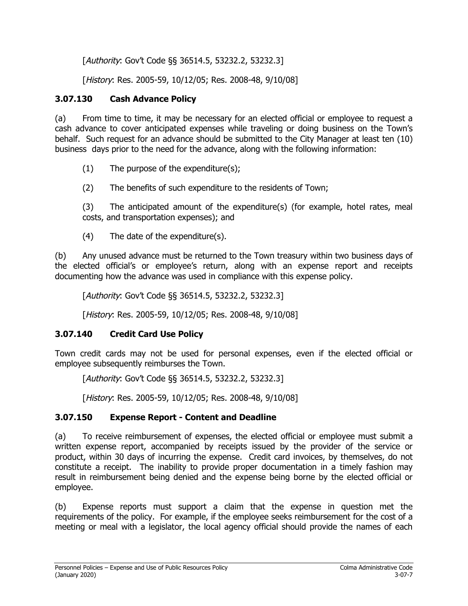[Authority: Gov't Code §§ 36514.5, 53232.2, 53232.3]

[History: Res. 2005-59, 10/12/05; Res. 2008-48, 9/10/08]

# **3.07.130 Cash Advance Policy**

(a) From time to time, it may be necessary for an elected official or employee to request a cash advance to cover anticipated expenses while traveling or doing business on the Town's behalf. Such request for an advance should be submitted to the City Manager at least ten (10) business days prior to the need for the advance, along with the following information:

(1) The purpose of the expenditure(s);

(2) The benefits of such expenditure to the residents of Town;

(3) The anticipated amount of the expenditure(s) (for example, hotel rates, meal costs, and transportation expenses); and

(4) The date of the expenditure(s).

(b) Any unused advance must be returned to the Town treasury within two business days of the elected official's or employee's return, along with an expense report and receipts documenting how the advance was used in compliance with this expense policy.

[Authority: Gov't Code §§ 36514.5, 53232.2, 53232.3]

[History: Res. 2005-59, 10/12/05; Res. 2008-48, 9/10/08]

# **3.07.140 Credit Card Use Policy**

Town credit cards may not be used for personal expenses, even if the elected official or employee subsequently reimburses the Town.

[Authority: Gov't Code §§ 36514.5, 53232.2, 53232.3]

[*History*: Res. 2005-59, 10/12/05; Res. 2008-48, 9/10/08]

# **3.07.150 Expense Report - Content and Deadline**

(a) To receive reimbursement of expenses, the elected official or employee must submit a written expense report, accompanied by receipts issued by the provider of the service or product, within 30 days of incurring the expense. Credit card invoices, by themselves, do not constitute a receipt. The inability to provide proper documentation in a timely fashion may result in reimbursement being denied and the expense being borne by the elected official or employee.

(b) Expense reports must support a claim that the expense in question met the requirements of the policy. For example, if the employee seeks reimbursement for the cost of a meeting or meal with a legislator, the local agency official should provide the names of each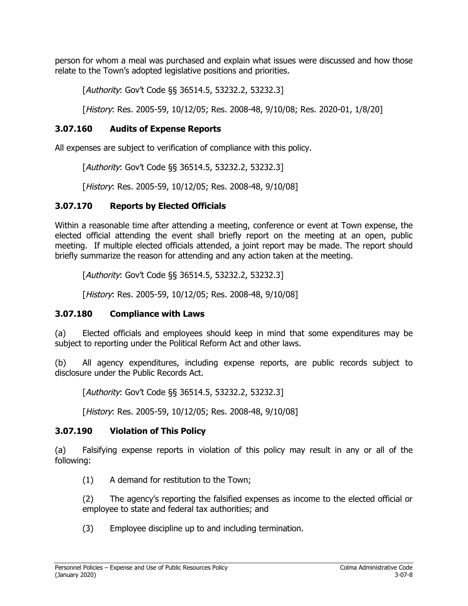person for whom a meal was purchased and explain what issues were discussed and how those relate to the Town's adopted legislative positions and priorities.

[Authority: Gov't Code §§ 36514.5, 53232.2, 53232.3]

[History: Res. 2005-59, 10/12/05; Res. 2008-48, 9/10/08; Res. 2020-01, 1/8/20]

#### **3.07.160 Audits of Expense Reports**

All expenses are subject to verification of compliance with this policy.

[Authority: Gov't Code §§ 36514.5, 53232.2, 53232.3]

[History: Res. 2005-59, 10/12/05; Res. 2008-48, 9/10/08]

# **3.07.170 Reports by Elected Officials**

Within a reasonable time after attending a meeting, conference or event at Town expense, the elected official attending the event shall briefly report on the meeting at an open, public meeting. If multiple elected officials attended, a joint report may be made. The report should briefly summarize the reason for attending and any action taken at the meeting.

[Authority: Gov't Code §§ 36514.5, 53232.2, 53232.3]

[History: Res. 2005-59, 10/12/05; Res. 2008-48, 9/10/08]

# **3.07.180 Compliance with Laws**

(a) Elected officials and employees should keep in mind that some expenditures may be subject to reporting under the Political Reform Act and other laws.

(b) All agency expenditures, including expense reports, are public records subject to disclosure under the Public Records Act.

[Authority: Gov't Code §§ 36514.5, 53232.2, 53232.3]

[History: Res. 2005-59, 10/12/05; Res. 2008-48, 9/10/08]

#### **3.07.190 Violation of This Policy**

(a) Falsifying expense reports in violation of this policy may result in any or all of the following:

(1) A demand for restitution to the Town;

(2) The agency's reporting the falsified expenses as income to the elected official or employee to state and federal tax authorities; and

(3) Employee discipline up to and including termination.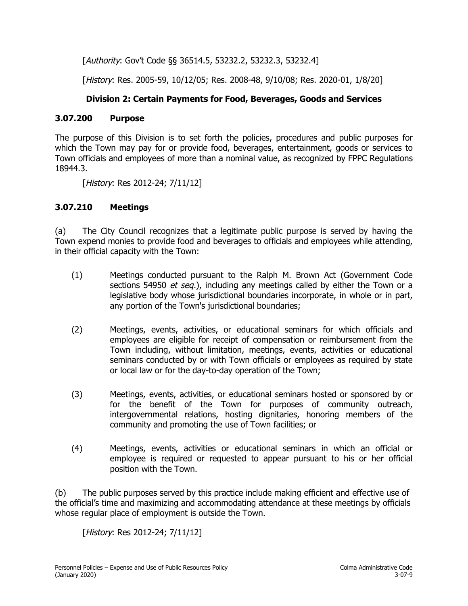[Authority: Gov't Code §§ 36514.5, 53232.2, 53232.3, 53232.4]

[History: Res. 2005-59, 10/12/05; Res. 2008-48, 9/10/08; Res. 2020-01, 1/8/20]

# **Division 2: Certain Payments for Food, Beverages, Goods and Services**

#### **3.07.200 Purpose**

The purpose of this Division is to set forth the policies, procedures and public purposes for which the Town may pay for or provide food, beverages, entertainment, goods or services to Town officials and employees of more than a nominal value, as recognized by FPPC Regulations 18944.3.

[History: Res 2012-24; 7/11/12]

# **3.07.210 Meetings**

(a) The City Council recognizes that a legitimate public purpose is served by having the Town expend monies to provide food and beverages to officials and employees while attending, in their official capacity with the Town:

- (1) Meetings conducted pursuant to the Ralph M. Brown Act (Government Code sections 54950 *et seq.*), including any meetings called by either the Town or a legislative body whose jurisdictional boundaries incorporate, in whole or in part, any portion of the Town's jurisdictional boundaries;
- (2) Meetings, events, activities, or educational seminars for which officials and employees are eligible for receipt of compensation or reimbursement from the Town including, without limitation, meetings, events, activities or educational seminars conducted by or with Town officials or employees as required by state or local law or for the day-to-day operation of the Town;
- (3) Meetings, events, activities, or educational seminars hosted or sponsored by or for the benefit of the Town for purposes of community outreach, intergovernmental relations, hosting dignitaries, honoring members of the community and promoting the use of Town facilities; or
- (4) Meetings, events, activities or educational seminars in which an official or employee is required or requested to appear pursuant to his or her official position with the Town.

(b) The public purposes served by this practice include making efficient and effective use of the official's time and maximizing and accommodating attendance at these meetings by officials whose regular place of employment is outside the Town.

[History: Res 2012-24; 7/11/12]